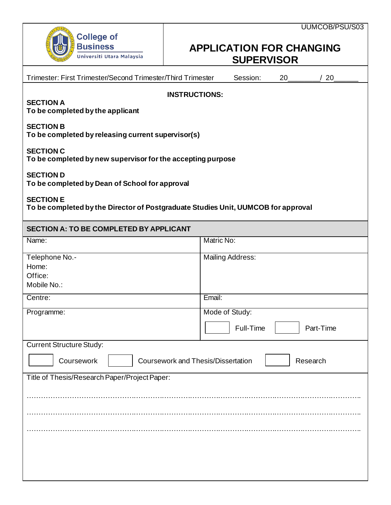

## **APPLICATION FOR CHANGING SUPERVISOR**

| Trimester: First Trimester/Second Trimester/Third Trimester                                           | Session:<br>20<br>/20                    |  |
|-------------------------------------------------------------------------------------------------------|------------------------------------------|--|
| <b>INSTRUCTIONS:</b><br><b>SECTION A</b><br>To be completed by the applicant                          |                                          |  |
| <b>SECTION B</b><br>To be completed by releasing current supervisor(s)                                |                                          |  |
| <b>SECTION C</b><br>To be completed by new supervisor for the accepting purpose                       |                                          |  |
| <b>SECTION D</b><br>To be completed by Dean of School for approval                                    |                                          |  |
| <b>SECTION E</b><br>To be completed by the Director of Postgraduate Studies Unit, UUMCOB for approval |                                          |  |
| <b>SECTION A: TO BE COMPLETED BY APPLICANT</b>                                                        |                                          |  |
| Name:                                                                                                 | Matric No:                               |  |
| Telephone No.-<br>Home:<br>Office:                                                                    | <b>Mailing Address:</b>                  |  |
| Mobile No.:                                                                                           |                                          |  |
| Centre:                                                                                               | Email:                                   |  |
| Programme:                                                                                            | Mode of Study:<br>Full-Time<br>Part-Time |  |
| <b>Current Structure Study:</b>                                                                       |                                          |  |
| $\overline{ }$<br><b>Coursework and Thesis/Dissertation</b><br>Coursework<br>Research                 |                                          |  |
| Title of Thesis/Research Paper/Project Paper:                                                         |                                          |  |
|                                                                                                       |                                          |  |
|                                                                                                       |                                          |  |
|                                                                                                       |                                          |  |
|                                                                                                       |                                          |  |
|                                                                                                       |                                          |  |
|                                                                                                       |                                          |  |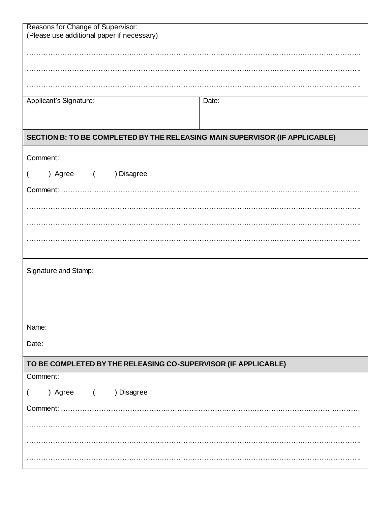| Reasons for Change of Supervisor:<br>(Please use additional paper if necessary) |       |  |
|---------------------------------------------------------------------------------|-------|--|
|                                                                                 |       |  |
|                                                                                 |       |  |
|                                                                                 |       |  |
|                                                                                 |       |  |
| Applicant's Signature:                                                          | Date: |  |
|                                                                                 |       |  |
| SECTION B: TO BE COMPLETED BY THE RELEASING MAIN SUPERVISOR (IF APPLICABLE)     |       |  |
| Comment:                                                                        |       |  |
| ) Agree ( ) Disagree                                                            |       |  |
| Comment: .                                                                      |       |  |
|                                                                                 |       |  |
|                                                                                 |       |  |
|                                                                                 |       |  |
|                                                                                 |       |  |
| Signature and Stamp:                                                            |       |  |
|                                                                                 |       |  |
|                                                                                 |       |  |
|                                                                                 |       |  |
| Name:                                                                           |       |  |
| Date:                                                                           |       |  |
| TO BE COMPLETED BY THE RELEASING CO-SUPERVISOR (IF APPLICABLE)                  |       |  |
| Comment:                                                                        |       |  |
| ) Agree ( ) Disagree                                                            |       |  |
|                                                                                 |       |  |
|                                                                                 |       |  |
|                                                                                 |       |  |
|                                                                                 |       |  |
|                                                                                 |       |  |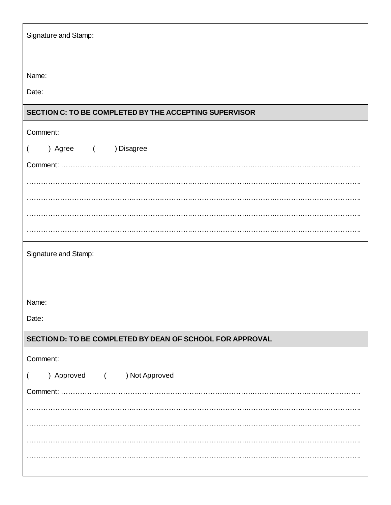| Signature and Stamp:                                      |
|-----------------------------------------------------------|
| Name:                                                     |
| Date:                                                     |
| SECTION C: TO BE COMPLETED BY THE ACCEPTING SUPERVISOR    |
| Comment:                                                  |
| ) Agree ( ) Disagree<br>$\overline{\mathcal{L}}$          |
|                                                           |
|                                                           |
|                                                           |
|                                                           |
|                                                           |
| Signature and Stamp:                                      |
|                                                           |
|                                                           |
| Name:                                                     |
| Date:                                                     |
| SECTION D: TO BE COMPLETED BY DEAN OF SCHOOL FOR APPROVAL |
| Comment:                                                  |
| ) Approved ( ) Not Approved<br>$\overline{(}$             |
|                                                           |
|                                                           |
|                                                           |
|                                                           |
|                                                           |